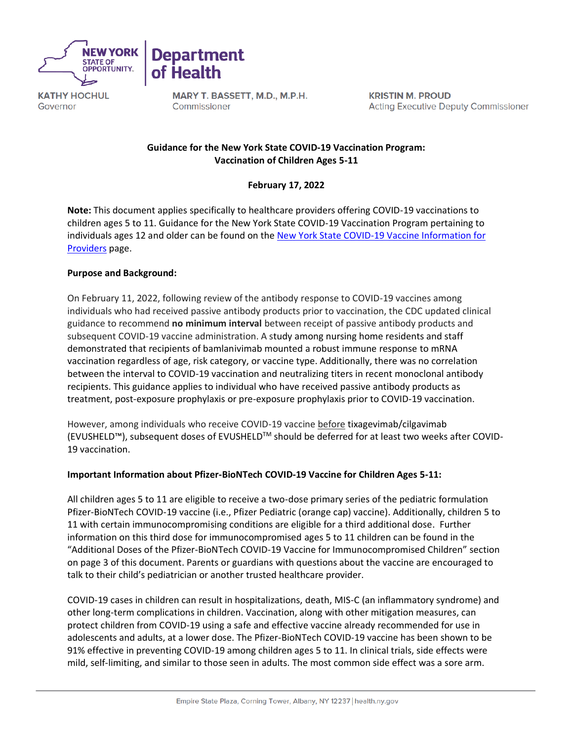



MARY T. BASSETT, M.D., M.P.H. Commissioner

**KRISTIN M. PROUD Acting Executive Deputy Commissioner** 

# **Guidance for the New York State COVID-19 Vaccination Program: Vaccination of Children Ages 5-11**

# **February 17, 2022**

**Note:** This document applies specifically to healthcare providers offering COVID-19 vaccinations to children ages 5 to 11. Guidance for the New York State COVID-19 Vaccination Program pertaining to individuals ages 12 and older can be found on the New York State COVID-19 Vaccine Information for [Providers](https://coronavirus.health.ny.gov/covid-19-vaccine-information-providers) page.

# **Purpose and Background:**

On February 11, 2022, following review of the antibody response to COVID-19 vaccines among individuals who had received passive antibody products prior to vaccination, the CDC updated clinical guidance to recommend **no minimum interval** between receipt of passive antibody products and subsequent COVID-19 vaccine administration. A study among nursing home residents and staff demonstrated that recipients of bamlanivimab mounted a robust immune response to mRNA vaccination regardless of age, risk category, or vaccine type. Additionally, there was no correlation between the interval to COVID-19 vaccination and neutralizing titers in recent monoclonal antibody recipients. This guidance applies to individual who have received passive antibody products as treatment, post-exposure prophylaxis or pre-exposure prophylaxis prior to COVID-19 vaccination.

However, among individuals who receive COVID-19 vaccine before tixagevimab/cilgavimab (EVUSHELD™), subsequent doses of EVUSHELDTM should be deferred for at least two weeks after COVID-19 vaccination.

# **Important Information about Pfizer-BioNTech COVID-19 Vaccine for Children Ages 5-11:**

All children ages 5 to 11 are eligible to receive a two-dose primary series of the pediatric formulation Pfizer-BioNTech COVID-19 vaccine (i.e., Pfizer Pediatric (orange cap) vaccine). Additionally, children 5 to 11 with certain immunocompromising conditions are eligible for a third additional dose. Further information on this third dose for immunocompromised ages 5 to 11 children can be found in the "Additional Doses of the Pfizer-BioNTech COVID-19 Vaccine for Immunocompromised Children" section on page 3 of this document. Parents or guardians with questions about the vaccine are encouraged to talk to their child's pediatrician or another trusted healthcare provider.

COVID-19 cases in children can result in hospitalizations, death, MIS-C (an inflammatory syndrome) and other long-term complications in children. Vaccination, along with other mitigation measures, can protect children from COVID-19 using a safe and effective vaccine already recommended for use in adolescents and adults, at a lower dose. The Pfizer-BioNTech COVID-19 vaccine has been shown to be 91% effective in preventing COVID-19 among children ages 5 to 11. In clinical trials, side effects were mild, self-limiting, and similar to those seen in adults. The most common side effect was a sore arm.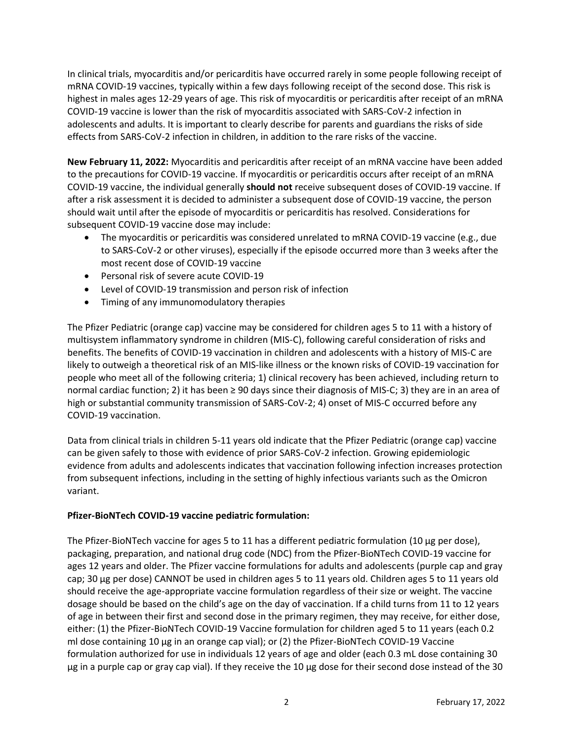In clinical trials, myocarditis and/or pericarditis have occurred rarely in some people following receipt of mRNA COVID-19 vaccines, typically within a few days following receipt of the second dose. This risk is highest in males ages 12-29 years of age. This risk of myocarditis or pericarditis after receipt of an mRNA COVID-19 vaccine is lower than the risk of myocarditis associated with SARS-CoV-2 infection in adolescents and adults. It is important to clearly describe for parents and guardians the risks of side effects from SARS-CoV-2 infection in children, in addition to the rare risks of the vaccine.

**New February 11, 2022:** Myocarditis and pericarditis after receipt of an mRNA vaccine have been added to the precautions for COVID-19 vaccine. If myocarditis or pericarditis occurs after receipt of an mRNA COVID-19 vaccine, the individual generally **should not** receive subsequent doses of COVID-19 vaccine. If after a risk assessment it is decided to administer a subsequent dose of COVID-19 vaccine, the person should wait until after the episode of myocarditis or pericarditis has resolved. Considerations for subsequent COVID-19 vaccine dose may include:

- The myocarditis or pericarditis was considered unrelated to mRNA COVID-19 vaccine (e.g., due to SARS-CoV-2 or other viruses), especially if the episode occurred more than 3 weeks after the most recent dose of COVID-19 vaccine
- Personal risk of severe acute COVID-19
- Level of COVID-19 transmission and person risk of infection
- Timing of any immunomodulatory therapies

The Pfizer Pediatric (orange cap) vaccine may be considered for children ages 5 to 11 with a history of multisystem inflammatory syndrome in children (MIS-C), following careful consideration of risks and benefits. The benefits of COVID-19 vaccination in children and adolescents with a history of MIS-C are likely to outweigh a theoretical risk of an MIS-like illness or the known risks of COVID-19 vaccination for people who meet all of the following criteria; 1) clinical recovery has been achieved, including return to normal cardiac function; 2) it has been ≥ 90 days since their diagnosis of MIS-C; 3) they are in an area of high or substantial community transmission of SARS-CoV-2; 4) onset of MIS-C occurred before any COVID-19 vaccination.

Data from clinical trials in children 5-11 years old indicate that the Pfizer Pediatric (orange cap) vaccine can be given safely to those with evidence of prior SARS-CoV-2 infection. Growing epidemiologic evidence from adults and adolescents indicates that vaccination following infection increases protection from subsequent infections, including in the setting of highly infectious variants such as the Omicron variant.

# **Pfizer-BioNTech COVID-19 vaccine pediatric formulation:**

The Pfizer-BioNTech vaccine for ages 5 to 11 has a different pediatric formulation (10 µg per dose), packaging, preparation, and national drug code (NDC) from the Pfizer-BioNTech COVID-19 vaccine for ages 12 years and older. The Pfizer vaccine formulations for adults and adolescents (purple cap and gray cap; 30 µg per dose) CANNOT be used in children ages 5 to 11 years old. Children ages 5 to 11 years old should receive the age-appropriate vaccine formulation regardless of their size or weight. The vaccine dosage should be based on the child's age on the day of vaccination. If a child turns from 11 to 12 years of age in between their first and second dose in the primary regimen, they may receive, for either dose, either: (1) the Pfizer-BioNTech COVID-19 Vaccine formulation for children aged 5 to 11 years (each 0.2 ml dose containing 10 µg in an orange cap vial); or (2) the Pfizer-BioNTech COVID-19 Vaccine formulation authorized for use in individuals 12 years of age and older (each 0.3 mL dose containing 30 µg in a purple cap or gray cap vial). If they receive the 10 µg dose for their second dose instead of the 30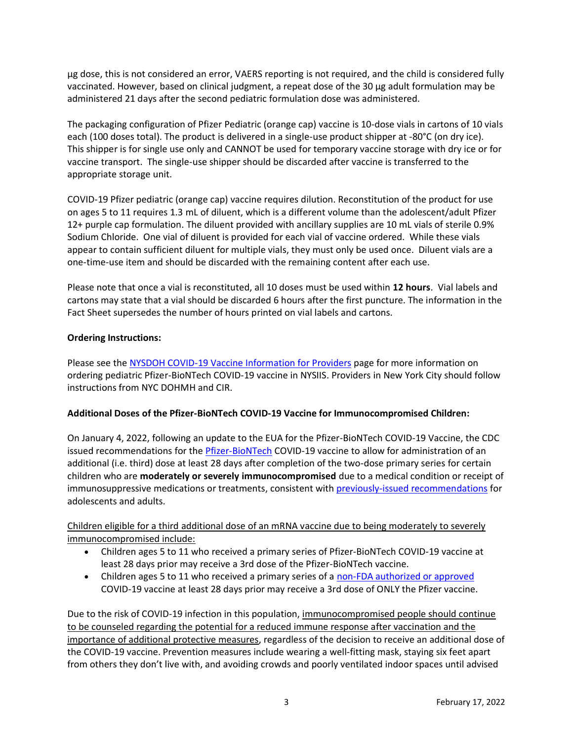µg dose, this is not considered an error, VAERS reporting is not required, and the child is considered fully vaccinated. However, based on clinical judgment, a repeat dose of the 30 µg adult formulation may be administered 21 days after the second pediatric formulation dose was administered.

The packaging configuration of Pfizer Pediatric (orange cap) vaccine is 10-dose vials in cartons of 10 vials each (100 doses total). The product is delivered in a single-use product shipper at -80°C (on dry ice). This shipper is for single use only and CANNOT be used for temporary vaccine storage with dry ice or for vaccine transport. The single-use shipper should be discarded after vaccine is transferred to the appropriate storage unit.

COVID-19 Pfizer pediatric (orange cap) vaccine requires dilution. Reconstitution of the product for use on ages 5 to 11 requires 1.3 mL of diluent, which is a different volume than the adolescent/adult Pfizer 12+ purple cap formulation. The diluent provided with ancillary supplies are 10 mL vials of sterile 0.9% Sodium Chloride. One vial of diluent is provided for each vial of vaccine ordered. While these vials appear to contain sufficient diluent for multiple vials, they must only be used once. Diluent vials are a one-time-use item and should be discarded with the remaining content after each use.

Please note that once a vial is reconstituted, all 10 doses must be used within **12 hours**. Vial labels and cartons may state that a vial should be discarded 6 hours after the first puncture. The information in the Fact Sheet supersedes the number of hours printed on vial labels and cartons.

# **Ordering Instructions:**

Please see the [NYSDOH COVID-19 Vaccine Information for Providers](https://coronavirus.health.ny.gov/covid-19-vaccine-information-providers) page for more information on ordering pediatric Pfizer-BioNTech COVID-19 vaccine in NYSIIS. Providers in New York City should follow instructions from NYC DOHMH and CIR.

# **Additional Doses of the Pfizer-BioNTech COVID-19 Vaccine for Immunocompromised Children:**

On January 4, 2022, following an update to the EUA for the Pfizer-BioNTech COVID-19 Vaccine, the CDC issued recommendations for the [Pfizer-BioNTech](https://www.fda.gov/media/150386/download) COVID-19 vaccine to allow for administration of an additional (i.e. third) dose at least 28 days after completion of the two-dose primary series for certain children who are **moderately or severely immunocompromised** due to a medical condition or receipt of immunosuppressive medications or treatments, consistent wit[h previously-issued recommendations](https://www.cdc.gov/coronavirus/2019-ncov/vaccines/recommendations/immuno.html) for adolescents and adults.

Children eligible for a third additional dose of an mRNA vaccine due to being moderately to severely immunocompromised include:

- Children ages 5 to 11 who received a primary series of Pfizer-BioNTech COVID-19 vaccine at least 28 days prior may receive a 3rd dose of the Pfizer-BioNTech vaccine.
- Children ages 5 to 11 who received a primary series of a [non-FDA authorized or approved](https://extranet.who.int/pqweb/vaccines/vaccinescovid-19-vaccine-eul-issued) COVID-19 vaccine at least 28 days prior may receive a 3rd dose of ONLY the Pfizer vaccine.

Due to the risk of COVID-19 infection in this population, immunocompromised people should continue to be counseled regarding the potential for a reduced immune response after vaccination and the importance of additional protective measures, regardless of the decision to receive an additional dose of the COVID-19 vaccine. Prevention measures include wearing a well-fitting mask, staying six feet apart from others they don't live with, and avoiding crowds and poorly ventilated indoor spaces until advised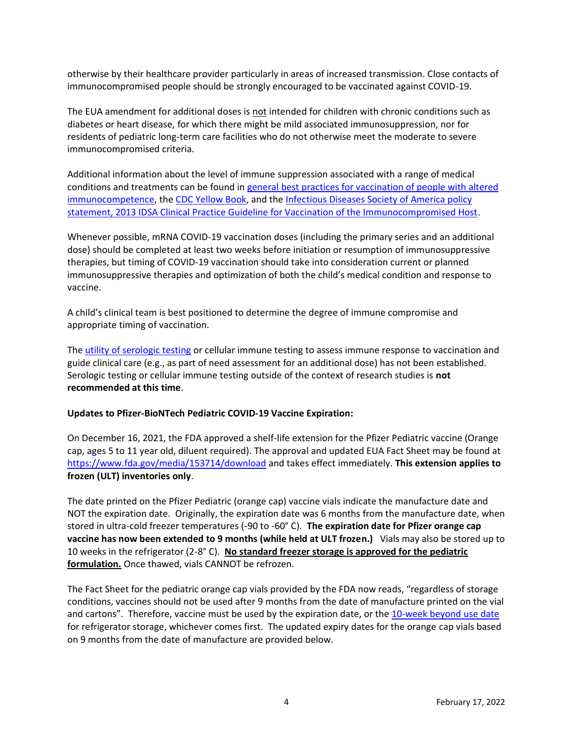otherwise by their healthcare provider particularly in areas of increased transmission. Close contacts of immunocompromised people should be strongly encouraged to be vaccinated against COVID-19.

The EUA amendment for additional doses is not intended for children with chronic conditions such as diabetes or heart disease, for which there might be mild associated immunosuppression, nor for residents of pediatric long-term care facilities who do not otherwise meet the moderate to severe immunocompromised criteria.

Additional information about the level of immune suppression associated with a range of medical conditions and treatments can be found in [general best practices for vaccination of people with altered](https://www.cdc.gov/vaccines/hcp/acip-recs/general-recs/immunocompetence.html)  [immunocompetence,](https://www.cdc.gov/vaccines/hcp/acip-recs/general-recs/immunocompetence.html) th[e CDC Yellow Book,](https://wwwnc.cdc.gov/travel/yellowbook/2020/travelers-with-additional-considerations/immunocompromised-travelers) and the [Infectious Diseases Society of America policy](https://academic.oup.com/cid/article/58/3/e44/336537)  [statement, 2013 IDSA Clinical Practice Guideline for Vaccination of the Immunocompromised Host.](https://academic.oup.com/cid/article/58/3/e44/336537)

Whenever possible, mRNA COVID-19 vaccination doses (including the primary series and an additional dose) should be completed at least two weeks before initiation or resumption of immunosuppressive therapies, but timing of COVID-19 vaccination should take into consideration current or planned immunosuppressive therapies and optimization of both the child's medical condition and response to vaccine.

A child's clinical team is best positioned to determine the degree of immune compromise and appropriate timing of vaccination.

The [utility of serologic testing](https://www.fda.gov/medical-devices/safety-communications/antibody-testing-not-currently-recommended-assess-immunity-after-covid-19-vaccination-fda-safety) or cellular immune testing to assess immune response to vaccination and guide clinical care (e.g., as part of need assessment for an additional dose) has not been established. Serologic testing or cellular immune testing outside of the context of research studies is **not recommended at this time**.

# **Updates to Pfizer-BioNTech Pediatric COVID-19 Vaccine Expiration:**

On December 16, 2021, the FDA approved a shelf-life extension for the Pfizer Pediatric vaccine (Orange cap, ages 5 to 11 year old, diluent required). The approval and updated EUA Fact Sheet may be found at <https://www.fda.gov/media/153714/download> and takes effect immediately. **This extension applies to frozen (ULT) inventories only**.

The date printed on the Pfizer Pediatric (orange cap) vaccine vials indicate the manufacture date and NOT the expiration date. Originally, the expiration date was 6 months from the manufacture date, when stored in ultra-cold freezer temperatures (-90 to -60° C). **The expiration date for Pfizer orange cap vaccine has now been extended to 9 months (while held at ULT frozen.)** Vials may also be stored up to 10 weeks in the refrigerator (2-8° C). **No standard freezer storage is approved for the pediatric formulation.** Once thawed, vials CANNOT be refrozen.

The Fact Sheet for the pediatric orange cap vials provided by the FDA now reads, "regardless of storage conditions, vaccines should not be used after 9 months from the date of manufacture printed on the vial and cartons". Therefore, vaccine must be used by the expiration date, or th[e 10-week beyond use date](https://www.cdc.gov/vaccines/covid-19/info-by-product/pfizer/downloads/Pfizer_PED_BUD-Labels.pdf) for refrigerator storage, whichever comes first. The updated expiry dates for the orange cap vials based on 9 months from the date of manufacture are provided below.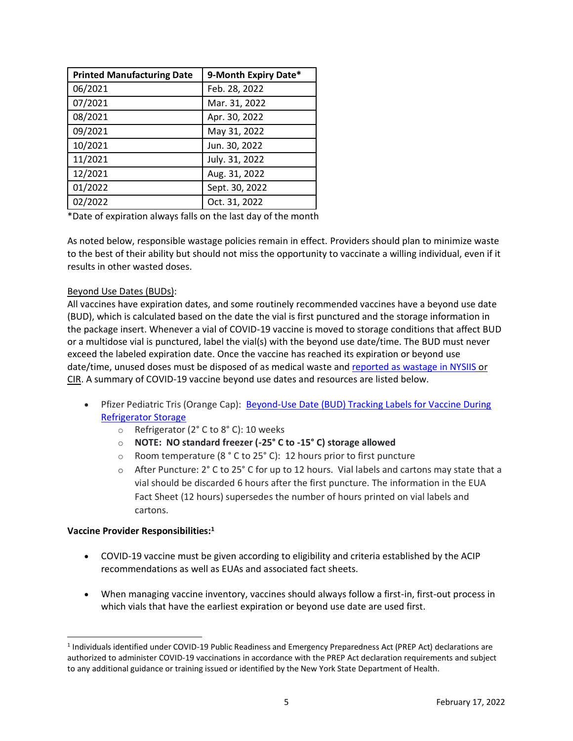| <b>Printed Manufacturing Date</b> | 9-Month Expiry Date* |
|-----------------------------------|----------------------|
| 06/2021                           | Feb. 28, 2022        |
| 07/2021                           | Mar. 31, 2022        |
| 08/2021                           | Apr. 30, 2022        |
| 09/2021                           | May 31, 2022         |
| 10/2021                           | Jun. 30, 2022        |
| 11/2021                           | July. 31, 2022       |
| 12/2021                           | Aug. 31, 2022        |
| 01/2022                           | Sept. 30, 2022       |
| 02/2022                           | Oct. 31, 2022        |

\*Date of expiration always falls on the last day of the month

As noted below, responsible wastage policies remain in effect. Providers should plan to minimize waste to the best of their ability but should not miss the opportunity to vaccinate a willing individual, even if it results in other wasted doses.

# Beyond Use Dates (BUDs):

All vaccines have expiration dates, and some routinely recommended vaccines have a beyond use date (BUD), which is calculated based on the date the vial is first punctured and the storage information in the package insert. Whenever a vial of COVID-19 vaccine is moved to storage conditions that affect BUD or a multidose vial is punctured, label the vial(s) with the beyond use date/time. The BUD must never exceed the labeled expiration date. Once the vaccine has reached its expiration or beyond use date/time, unused doses must be disposed of as medical waste and [reported as wastage in NYSIIS](https://coronavirus.health.ny.gov/system/files/documents/2021/05/covid-19-vaccine-wastage-reporting-guidance.pdf) or CIR. A summary of COVID-19 vaccine beyond use dates and resources are listed below.

- Pfizer Pediatric Tris (Orange Cap): [Beyond-Use Date \(BUD\) Tracking Labels for Vaccine During](https://www.cdc.gov/vaccines/covid-19/info-by-product/pfizer/downloads/Pfizer_PED_BUD-Labels.pdf)  [Refrigerator Storage](https://www.cdc.gov/vaccines/covid-19/info-by-product/pfizer/downloads/Pfizer_PED_BUD-Labels.pdf)
	- o Refrigerator (2° C to 8° C): 10 weeks
	- o **NOTE: NO standard freezer (-25° C to -15° C) storage allowed**
	- $\circ$  Room temperature (8 ° C to 25° C): 12 hours prior to first puncture
	- $\circ$  After Puncture: 2° C to 25° C for up to 12 hours. Vial labels and cartons may state that a vial should be discarded 6 hours after the first puncture. The information in the EUA Fact Sheet (12 hours) supersedes the number of hours printed on vial labels and cartons.

# **Vaccine Provider Responsibilities:<sup>1</sup>**

- COVID-19 vaccine must be given according to eligibility and criteria established by the ACIP recommendations as well as EUAs and associated fact sheets.
- When managing vaccine inventory, vaccines should always follow a first-in, first-out process in which vials that have the earliest expiration or beyond use date are used first.

<sup>1</sup> Individuals identified under COVID-19 Public Readiness and Emergency Preparedness Act (PREP Act) declarations are authorized to administer COVID-19 vaccinations in accordance with the PREP Act declaration requirements and subject to any additional guidance or training issued or identified by the New York State Department of Health.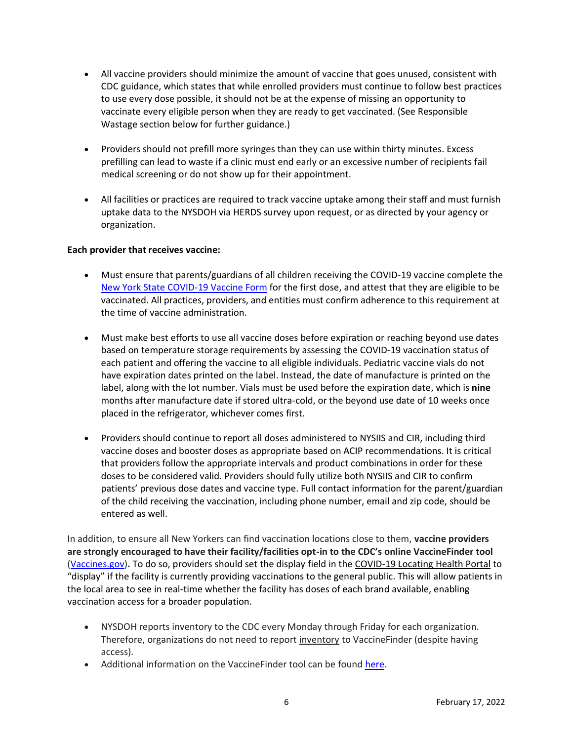- All vaccine providers should minimize the amount of vaccine that goes unused, consistent with CDC guidance, which states that while enrolled providers must continue to follow best practices to use every dose possible, it should not be at the expense of missing an opportunity to vaccinate every eligible person when they are ready to get vaccinated. (See Responsible Wastage section below for further guidance.)
- Providers should not prefill more syringes than they can use within thirty minutes. Excess prefilling can lead to waste if a clinic must end early or an excessive number of recipients fail medical screening or do not show up for their appointment.
- All facilities or practices are required to track vaccine uptake among their staff and must furnish uptake data to the NYSDOH via HERDS survey upon request, or as directed by your agency or organization.

# **Each provider that receives vaccine:**

- Must ensure that parents/guardians of all children receiving the COVID-19 vaccine complete the [New York State COVID-19 Vaccine Form](https://forms.ny.gov/s3/vaccine) for the first dose, and attest that they are eligible to be vaccinated. All practices, providers, and entities must confirm adherence to this requirement at the time of vaccine administration.
- Must make best efforts to use all vaccine doses before expiration or reaching beyond use dates based on temperature storage requirements by assessing the COVID-19 vaccination status of each patient and offering the vaccine to all eligible individuals. Pediatric vaccine vials do not have expiration dates printed on the label. Instead, the date of manufacture is printed on the label, along with the lot number. Vials must be used before the expiration date, which is **nine** months after manufacture date if stored ultra-cold, or the beyond use date of 10 weeks once placed in the refrigerator, whichever comes first.
- Providers should continue to report all doses administered to NYSIIS and CIR, including third vaccine doses and booster doses as appropriate based on ACIP recommendations. It is critical that providers follow the appropriate intervals and product combinations in order for these doses to be considered valid. Providers should fully utilize both NYSIIS and CIR to confirm patients' previous dose dates and vaccine type. Full contact information for the parent/guardian of the child receiving the vaccination, including phone number, email and zip code, should be entered as well.

In addition, to ensure all New Yorkers can find vaccination locations close to them, **vaccine providers are strongly encouraged to have their facility/facilities opt-in to the CDC's online VaccineFinder tool**  [\(Vaccines.gov\)](https://www.vaccines.gov/)**.** To do so, providers should set the display field in the COVID-19 Locating Health Portal to "display" if the facility is currently providing vaccinations to the general public. This will allow patients in the local area to see in real-time whether the facility has doses of each brand available, enabling vaccination access for a broader population.

- NYSDOH reports inventory to the CDC every Monday through Friday for each organization. Therefore, organizations do not need to report inventory to VaccineFinder (despite having access).
- Additional information on the VaccineFinder tool can be found [here.](https://www.vaccines.gov/covid-provider-resources/)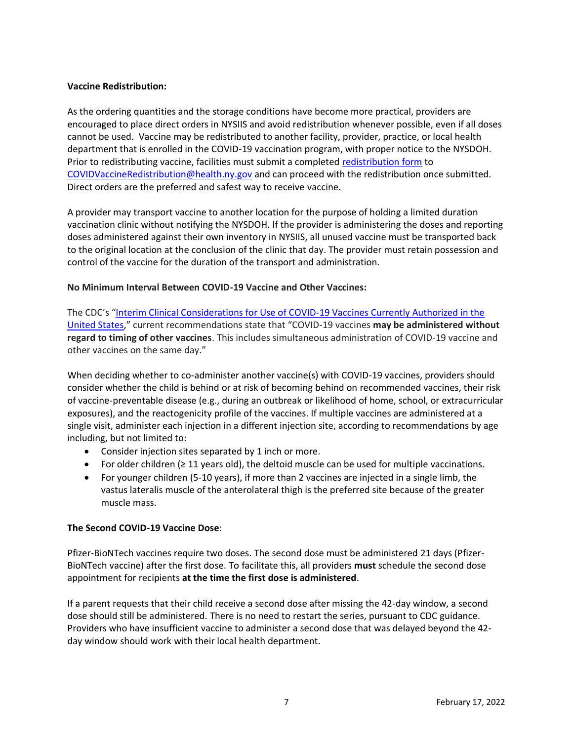# **Vaccine Redistribution:**

As the ordering quantities and the storage conditions have become more practical, providers are encouraged to place direct orders in NYSIIS and avoid redistribution whenever possible, even if all doses cannot be used. Vaccine may be redistributed to another facility, provider, practice, or local health department that is enrolled in the COVID-19 vaccination program, with proper notice to the NYSDOH. Prior to redistributing vaccine, facilities must submit a completed [redistribution form](https://coronavirus.health.ny.gov/system/files/documents/2021/05/vaccine_program_redistribution_5.21.21.pdf) to [COVIDVaccineRedistribution@health.ny.gov](mailto:COVIDVaccineRedistribution@health.ny.gov) and can proceed with the redistribution once submitted. Direct orders are the preferred and safest way to receive vaccine.

A provider may transport vaccine to another location for the purpose of holding a limited duration vaccination clinic without notifying the NYSDOH. If the provider is administering the doses and reporting doses administered against their own inventory in NYSIIS, all unused vaccine must be transported back to the original location at the conclusion of the clinic that day. The provider must retain possession and control of the vaccine for the duration of the transport and administration.

# **No Minimum Interval Between COVID-19 Vaccine and Other Vaccines:**

The CDC's "[Interim Clinical Considerations for Use of COVID-19 Vaccines Currently Authorized in the](https://www.cdc.gov/vaccines/covid-19/info-by-product/clinical-considerations.html)  [United States](https://www.cdc.gov/vaccines/covid-19/info-by-product/clinical-considerations.html)," current recommendations state that "COVID-19 vaccines **may be administered without regard to timing of other vaccines**. This includes simultaneous administration of COVID-19 vaccine and other vaccines on the same day."

When deciding whether to co-administer another vaccine(s) with COVID-19 vaccines, providers should consider whether the child is behind or at risk of becoming behind on recommended vaccines, their risk of vaccine-preventable disease (e.g., during an outbreak or likelihood of home, school, or extracurricular exposures), and the reactogenicity profile of the vaccines. If multiple vaccines are administered at a single visit, administer each injection in a different injection site, according to recommendations by age including, but not limited to:

- Consider injection sites separated by 1 inch or more.
- For older children (≥ 11 years old), the deltoid muscle can be used for multiple vaccinations.
- For younger children (5-10 years), if more than 2 vaccines are injected in a single limb, the vastus lateralis muscle of the anterolateral thigh is the preferred site because of the greater muscle mass.

# **The Second COVID-19 Vaccine Dose**:

Pfizer-BioNTech vaccines require two doses. The second dose must be administered 21 days (Pfizer-BioNTech vaccine) after the first dose. To facilitate this, all providers **must** schedule the second dose appointment for recipients **at the time the first dose is administered**.

If a parent requests that their child receive a second dose after missing the 42-day window, a second dose should still be administered. There is no need to restart the series, pursuant to CDC guidance. Providers who have insufficient vaccine to administer a second dose that was delayed beyond the 42 day window should work with their local health department.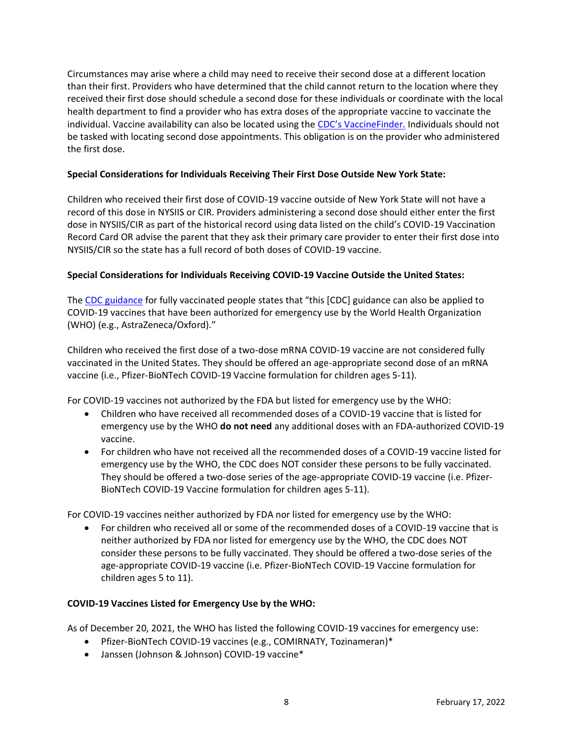Circumstances may arise where a child may need to receive their second dose at a different location than their first. Providers who have determined that the child cannot return to the location where they received their first dose should schedule a second dose for these individuals or coordinate with the local health department to find a provider who has extra doses of the appropriate vaccine to vaccinate the individual. Vaccine availability can also be located using the [CDC's VaccineFinder.](https://www.vaccines.gov/) Individuals should not be tasked with locating second dose appointments. This obligation is on the provider who administered the first dose.

# **Special Considerations for Individuals Receiving Their First Dose Outside New York State:**

Children who received their first dose of COVID-19 vaccine outside of New York State will not have a record of this dose in NYSIIS or CIR. Providers administering a second dose should either enter the first dose in NYSIIS/CIR as part of the historical record using data listed on the child's COVID-19 Vaccination Record Card OR advise the parent that they ask their primary care provider to enter their first dose into NYSIIS/CIR so the state has a full record of both doses of COVID-19 vaccine.

# **Special Considerations for Individuals Receiving COVID-19 Vaccine Outside the United States:**

The [CDC guidance](https://www.cdc.gov/coronavirus/2019-ncov/vaccines/fully-vaccinated.html#footnote) for fully vaccinated people states that "this [CDC] guidance can also be applied to COVID-19 vaccines that have been authorized for emergency use by the World Health Organization (WHO) (e.g., AstraZeneca/Oxford)."

Children who received the first dose of a two-dose mRNA COVID-19 vaccine are not considered fully vaccinated in the United States. They should be offered an age-appropriate second dose of an mRNA vaccine (i.e., Pfizer-BioNTech COVID-19 Vaccine formulation for children ages 5-11).

For COVID-19 vaccines not authorized by the FDA but listed for emergency use by the WHO:

- Children who have received all recommended doses of a COVID-19 vaccine that is listed for emergency use by the WHO **do not need** any additional doses with an FDA-authorized COVID-19 vaccine.
- For children who have not received all the recommended doses of a COVID-19 vaccine listed for emergency use by the WHO, the CDC does NOT consider these persons to be fully vaccinated. They should be offered a two-dose series of the age-appropriate COVID-19 vaccine (i.e. Pfizer-BioNTech COVID-19 Vaccine formulation for children ages 5-11).

For COVID-19 vaccines neither authorized by FDA nor listed for emergency use by the WHO:

• For children who received all or some of the recommended doses of a COVID-19 vaccine that is neither authorized by FDA nor listed for emergency use by the WHO, the CDC does NOT consider these persons to be fully vaccinated. They should be offered a two-dose series of the age-appropriate COVID-19 vaccine (i.e. Pfizer-BioNTech COVID-19 Vaccine formulation for children ages 5 to 11).

# **COVID-19 Vaccines Listed for Emergency Use by the WHO:**

As of December 20, 2021, the WHO has listed the following COVID-19 vaccines for emergency use:

- Pfizer-BioNTech COVID-19 vaccines (e.g., COMIRNATY, Tozinameran)\*
- Janssen (Johnson & Johnson) COVID-19 vaccine\*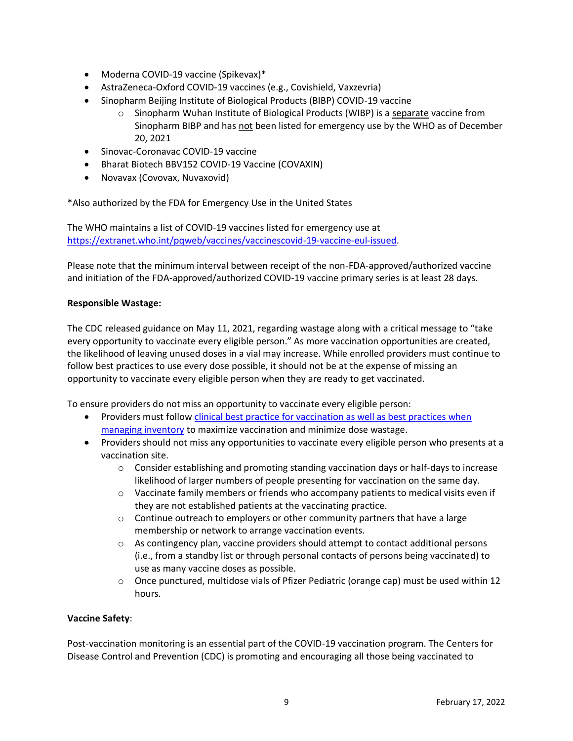- Moderna COVID-19 vaccine (Spikevax)\*
- AstraZeneca-Oxford COVID-19 vaccines (e.g., Covishield, Vaxzevria)
- Sinopharm Beijing Institute of Biological Products (BIBP) COVID-19 vaccine
	- o Sinopharm Wuhan Institute of Biological Products (WIBP) is a separate vaccine from Sinopharm BIBP and has not been listed for emergency use by the WHO as of December 20, 2021
- Sinovac-Coronavac COVID-19 vaccine
- Bharat Biotech BBV152 COVID-19 Vaccine (COVAXIN)
- Novavax (Covovax, Nuvaxovid)

\*Also authorized by the FDA for Emergency Use in the United States

The WHO maintains a list of COVID-19 vaccines listed for emergency use at [https://extranet.who.int/pqweb/vaccines/vaccinescovid-19-vaccine-eul-issued.](https://extranet.who.int/pqweb/vaccines/vaccinescovid-19-vaccine-eul-issued)

Please note that the minimum interval between receipt of the non-FDA-approved/authorized vaccine and initiation of the FDA-approved/authorized COVID-19 vaccine primary series is at least 28 days.

# **Responsible Wastage:**

The CDC released guidance on May 11, 2021, regarding wastage along with a critical message to "take every opportunity to vaccinate every eligible person." As more vaccination opportunities are created, the likelihood of leaving unused doses in a vial may increase. While enrolled providers must continue to follow best practices to use every dose possible, it should not be at the expense of missing an opportunity to vaccinate every eligible person when they are ready to get vaccinated.

To ensure providers do not miss an opportunity to vaccinate every eligible person:

- Providers must follow clinical best practice for vaccination as well as best practices when [managing inventory](https://www.cdc.gov/vaccines/pubs/pinkbook/strat.html) to maximize vaccination and minimize dose wastage.
- Providers should not miss any opportunities to vaccinate every eligible person who presents at a vaccination site.
	- $\circ$  Consider establishing and promoting standing vaccination days or half-days to increase likelihood of larger numbers of people presenting for vaccination on the same day.
	- $\circ$  Vaccinate family members or friends who accompany patients to medical visits even if they are not established patients at the vaccinating practice.
	- $\circ$  Continue outreach to employers or other community partners that have a large membership or network to arrange vaccination events.
	- $\circ$  As contingency plan, vaccine providers should attempt to contact additional persons (i.e., from a standby list or through personal contacts of persons being vaccinated) to use as many vaccine doses as possible.
	- o Once punctured, multidose vials of Pfizer Pediatric (orange cap) must be used within 12 hours.

# **Vaccine Safety**:

Post-vaccination monitoring is an essential part of the COVID-19 vaccination program. The Centers for Disease Control and Prevention (CDC) is promoting and encouraging all those being vaccinated to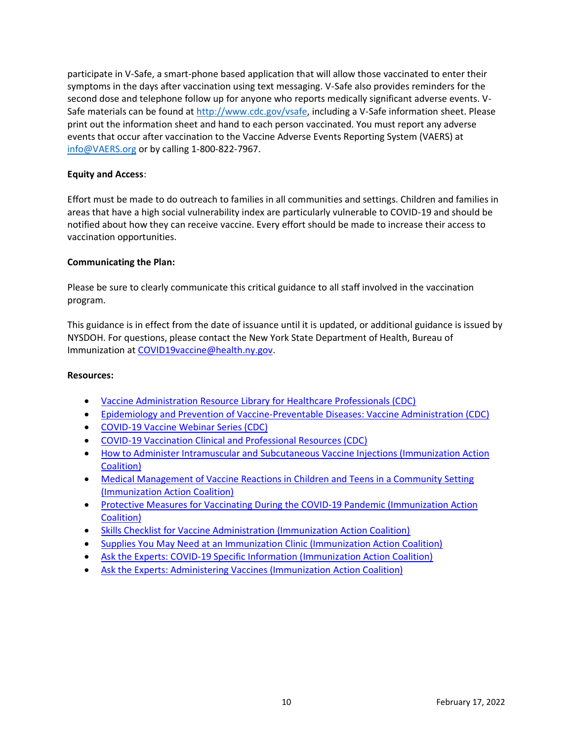participate in V-Safe, a smart-phone based application that will allow those vaccinated to enter their symptoms in the days after vaccination using text messaging. V-Safe also provides reminders for the second dose and telephone follow up for anyone who reports medically significant adverse events. VSafe materials can be found at [http://www.cdc.gov/vsafe,](http://www.cdc.gov/vsafe) including a V-Safe information sheet. Please print out the information sheet and hand to each person vaccinated. You must report any adverse events that occur after vaccination to the Vaccine Adverse Events Reporting System (VAERS) at [info@VAERS.org](mailto:info@VAERS.org) or by calling 1-800-822-7967.

# **Equity and Access**:

Effort must be made to do outreach to families in all communities and settings. Children and families in areas that have a high social vulnerability index are particularly vulnerable to COVID-19 and should be notified about how they can receive vaccine. Every effort should be made to increase their access to vaccination opportunities.

#### **Communicating the Plan:**

Please be sure to clearly communicate this critical guidance to all staff involved in the vaccination program.  

This guidance is in effect from the date of issuance until it is updated, or additional guidance is issued by NYSDOH. For questions, please contact the New York State Department of Health, Bureau of Immunization at [COVID19vaccine@health.ny.gov.](mailto:COVID19vaccine@health.ny.gov)

#### **Resources:**

- [Vaccine Administration Resource Library for Healthcare Professionals \(CDC\)](https://www.cdc.gov/vaccines/hcp/admin/resource-library.html)
- [Epidemiology and Prevention of Vaccine-Preventable Diseases: Vaccine Administration \(CDC\)](https://www.cdc.gov/vaccines/pubs/pinkbook/vac-admin.html)
- [COVID-19 Vaccine Webinar Series \(CDC\)](https://www.cdc.gov/vaccines/covid-19/training-education/webinars.html)
- [COVID-19 Vaccination Clinical and Professional Resources \(CDC\)](https://www.cdc.gov/vaccines/covid-19/index.html)
- [How to Administer Intramuscular and Subcutaneous Vaccine Injections \(Immunization Action](https://www.immunize.org/catg.d/p2020.pdf)  [Coalition\)](https://www.immunize.org/catg.d/p2020.pdf)
- [Medical Management of Vaccine Reactions in Children and Teens in a Community Setting](https://www.immunize.org/catg.d/p3082a.pdf)  [\(Immunization Action Coalition\)](https://www.immunize.org/catg.d/p3082a.pdf)
- [Protective Measures for Vaccinating During the COVID-19 Pandemic \(Immunization Action](https://www.immunize.org/catg.d/p2009.pdf)  [Coalition\)](https://www.immunize.org/catg.d/p2009.pdf)
- [Skills Checklist for Vaccine Administration \(Immunization Action Coalition\)](https://www.immunize.org/catg.d/p7010.pdf)
- [Supplies You May Need at an Immunization Clinic \(Immunization Action Coalition\)](https://www.immunize.org/catg.d/p3046.pdf)
- [Ask the Experts: COVID-19 Specific Information \(Immunization Action Coalition\)](https://www.immunize.org/askexperts/experts_cov.asp)
- [Ask the Experts: Administering Vaccines \(Immunization Action Coalition\)](https://www.immunize.org/askexperts/administering-vaccines.asp)